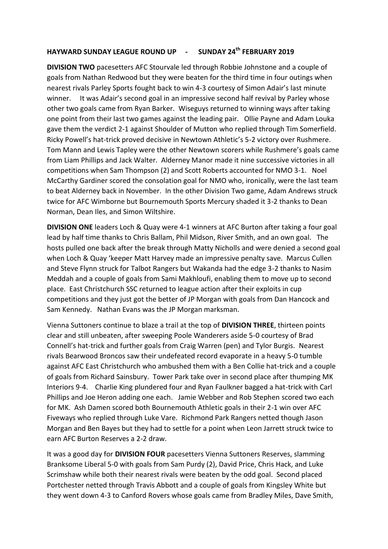## **HAYWARD SUNDAY LEAGUE ROUND UP - SUNDAY 24th FEBRUARY 2019**

**DIVISION TWO** pacesetters AFC Stourvale led through Robbie Johnstone and a couple of goals from Nathan Redwood but they were beaten for the third time in four outings when nearest rivals Parley Sports fought back to win 4-3 courtesy of Simon Adair's last minute winner. It was Adair's second goal in an impressive second half revival by Parley whose other two goals came from Ryan Barker. Wiseguys returned to winning ways after taking one point from their last two games against the leading pair. Ollie Payne and Adam Louka gave them the verdict 2-1 against Shoulder of Mutton who replied through Tim Somerfield. Ricky Powell's hat-trick proved decisive in Newtown Athletic's 5-2 victory over Rushmere. Tom Mann and Lewis Tapley were the other Newtown scorers while Rushmere's goals came from Liam Phillips and Jack Walter. Alderney Manor made it nine successive victories in all competitions when Sam Thompson (2) and Scott Roberts accounted for NMO 3-1. Noel McCarthy Gardiner scored the consolation goal for NMO who, ironically, were the last team to beat Alderney back in November. In the other Division Two game, Adam Andrews struck twice for AFC Wimborne but Bournemouth Sports Mercury shaded it 3-2 thanks to Dean Norman, Dean Iles, and Simon Wiltshire.

**DIVISION ONE** leaders Loch & Quay were 4-1 winners at AFC Burton after taking a four goal lead by half time thanks to Chris Ballam, Phil Midson, River Smith, and an own goal. The hosts pulled one back after the break through Matty Nicholls and were denied a second goal when Loch & Quay 'keeper Matt Harvey made an impressive penalty save. Marcus Cullen and Steve Flynn struck for Talbot Rangers but Wakanda had the edge 3-2 thanks to Nasim Meddah and a couple of goals from Sami Makhloufi, enabling them to move up to second place. East Christchurch SSC returned to league action after their exploits in cup competitions and they just got the better of JP Morgan with goals from Dan Hancock and Sam Kennedy. Nathan Evans was the JP Morgan marksman.

Vienna Suttoners continue to blaze a trail at the top of **DIVISION THREE**, thirteen points clear and still unbeaten, after sweeping Poole Wanderers aside 5-0 courtesy of Brad Connell's hat-trick and further goals from Craig Warren (pen) and Tylor Burgis. Nearest rivals Bearwood Broncos saw their undefeated record evaporate in a heavy 5-0 tumble against AFC East Christchurch who ambushed them with a Ben Collie hat-trick and a couple of goals from Richard Sainsbury. Tower Park take over in second place after thumping MK Interiors 9-4. Charlie King plundered four and Ryan Faulkner bagged a hat-trick with Carl Phillips and Joe Heron adding one each. Jamie Webber and Rob Stephen scored two each for MK. Ash Damen scored both Bournemouth Athletic goals in their 2-1 win over AFC Fiveways who replied through Luke Vare. Richmond Park Rangers netted though Jason Morgan and Ben Bayes but they had to settle for a point when Leon Jarrett struck twice to earn AFC Burton Reserves a 2-2 draw.

It was a good day for **DIVISION FOUR** pacesetters Vienna Suttoners Reserves, slamming Branksome Liberal 5-0 with goals from Sam Purdy (2), David Price, Chris Hack, and Luke Scrimshaw while both their nearest rivals were beaten by the odd goal. Second placed Portchester netted through Travis Abbott and a couple of goals from Kingsley White but they went down 4-3 to Canford Rovers whose goals came from Bradley Miles, Dave Smith,